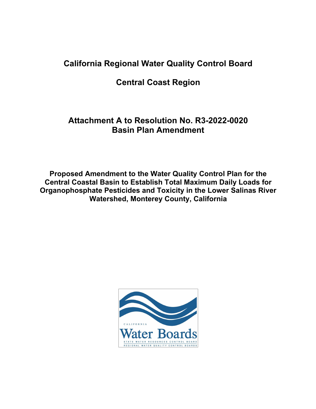# **California Regional Water Quality Control Board**

# **Central Coast Region**

# **Attachment A to Resolution No. R3-2022-0020 Basin Plan Amendment**

**Proposed Amendment to the Water Quality Control Plan for the Central Coastal Basin to Establish Total Maximum Daily Loads for Organophosphate Pesticides and Toxicity in the Lower Salinas River Watershed, Monterey County, California**

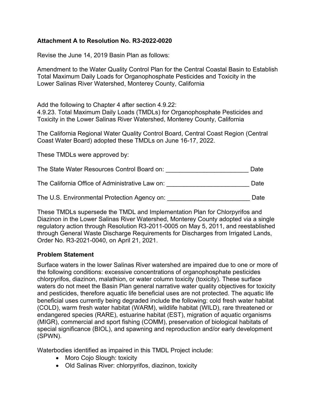### **Attachment A to Resolution No. R3-2022-0020**

Revise the June 14, 2019 Basin Plan as follows:

Amendment to the Water Quality Control Plan for the Central Coastal Basin to Establish Total Maximum Daily Loads for Organophosphate Pesticides and Toxicity in the Lower Salinas River Watershed, Monterey County, California

Add the following to Chapter 4 after section 4.9.22: 4.9.23. Total Maximum Daily Loads (TMDLs) for Organophosphate Pesticides and Toxicity in the Lower Salinas River Watershed, Monterey County, California

The California Regional Water Quality Control Board, Central Coast Region (Central Coast Water Board) adopted these TMDLs on June 16-17, 2022.

These TMDLs were approved by:

The State Water Resources Control Board on: \_\_\_\_\_\_\_\_\_\_\_\_\_\_\_\_\_\_\_\_\_\_\_\_\_\_\_\_\_\_Date

The California Office of Administrative Law on: \_\_\_\_\_\_\_\_\_\_\_\_\_\_\_\_\_\_\_\_\_\_\_\_\_\_\_\_\_\_\_Date

The U.S. Environmental Protection Agency on: **Example 2018** Date

These TMDLs supersede the TMDL and Implementation Plan for Chlorpyrifos and Diazinon in the Lower Salinas River Watershed, Monterey County adopted via a single regulatory action through Resolution R3-2011-0005 on May 5, 2011, and reestablished through General Waste Discharge Requirements for Discharges from Irrigated Lands, Order No. R3-2021-0040, on April 21, 2021.

## **Problem Statement**

Surface waters in the lower Salinas River watershed are impaired due to one or more of the following conditions: excessive concentrations of organophosphate pesticides chlorpyrifos, diazinon, malathion, or water column toxicity (toxicity). These surface waters do not meet the Basin Plan general narrative water quality objectives for toxicity and pesticides, therefore aquatic life beneficial uses are not protected. The aquatic life beneficial uses currently being degraded include the following: cold fresh water habitat (COLD), warm fresh water habitat (WARM), wildlife habitat (WILD), rare threatened or endangered species (RARE), estuarine habitat (EST), migration of aquatic organisms (MIGR), commercial and sport fishing (COMM), preservation of biological habitats of special significance (BIOL), and spawning and reproduction and/or early development (SPWN).

Waterbodies identified as impaired in this TMDL Project include:

- · Moro Cojo Slough: toxicity
- Old Salinas River: chlorpyrifos, diazinon, toxicity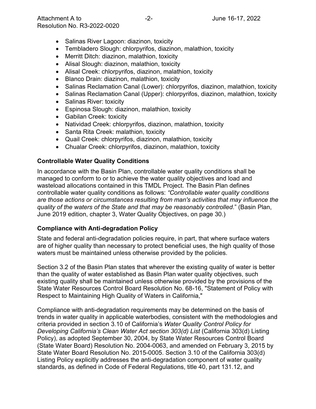- Salinas River Lagoon: diazinon, toxicity
- · Tembladero Slough: chlorpyrifos, diazinon, malathion, toxicity
- · Merritt Ditch: diazinon, malathion, toxicity
- Alisal Slough: diazinon, malathion, toxicity
- · Alisal Creek: chlorpyrifos, diazinon, malathion, toxicity
- · Blanco Drain: diazinon, malathion, toxicity
- · Salinas Reclamation Canal (Lower): chlorpyrifos, diazinon, malathion, toxicity
- Salinas Reclamation Canal (Upper): chlorpyrifos, diazinon, malathion, toxicity
- Salinas River: toxicity
- · Espinosa Slough: diazinon, malathion, toxicity
- Gabilan Creek: toxicity
- · Natividad Creek: chlorpyrifos, diazinon, malathion, toxicity
- · Santa Rita Creek: malathion, toxicity
- · Quail Creek: chlorpyrifos, diazinon, malathion, toxicity
- Chualar Creek: chlorpyrifos, diazinon, malathion, toxicity

# **Controllable Water Quality Conditions**

In accordance with the Basin Plan, controllable water quality conditions shall be managed to conform to or to achieve the water quality objectives and load and wasteload allocations contained in this TMDL Project. The Basin Plan defines controllable water quality conditions as follows: *"Controllable water quality conditions are those actions or circumstances resulting from man's activities that may influence the quality of the waters of the State and that may be reasonably controlled*." (Basin Plan, June 2019 edition, chapter 3, Water Quality Objectives, on page 30.)

## **Compliance with Anti-degradation Policy**

State and federal anti-degradation policies require, in part, that where surface waters are of higher quality than necessary to protect beneficial uses, the high quality of those waters must be maintained unless otherwise provided by the policies.

Section 3.2 of the Basin Plan states that wherever the existing quality of water is better than the quality of water established as Basin Plan water quality objectives, such existing quality shall be maintained unless otherwise provided by the provisions of the State Water Resources Control Board Resolution No. 68-16, "Statement of Policy with Respect to Maintaining High Quality of Waters in California,"

Compliance with anti-degradation requirements may be determined on the basis of trends in water quality in applicable waterbodies, consistent with the methodologies and criteria provided in section 3.10 of California's *Water Quality Control Policy for Developing California's Clean Water Act section 303(d) List* (California 303(d) Listing Policy), as adopted September 30, 2004, by State Water Resources Control Board (State Water Board) Resolution No. 2004-0063, and amended on February 3, 2015 by State Water Board Resolution No. 2015-0005. Section 3.10 of the California 303(d) Listing Policy explicitly addresses the anti-degradation component of water quality standards, as defined in Code of Federal Regulations, title 40, part 131.12, and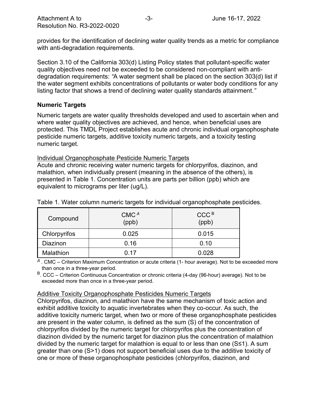provides for the identification of declining water quality trends as a metric for compliance with anti-degradation requirements.

Section 3.10 of the California 303(d) Listing Policy states that pollutant-specific water quality objectives need not be exceeded to be considered non-compliant with antidegradation requirements: *"*A water segment shall be placed on the section 303(d) list if the water segment exhibits concentrations of pollutants or water body conditions for any listing factor that shows a trend of declining water quality standards attainment.*"*

## **Numeric Targets**

Numeric targets are water quality thresholds developed and used to ascertain when and where water quality objectives are achieved, and hence, when beneficial uses are protected. This TMDL Project establishes acute and chronic individual organophosphate pesticide numeric targets, additive toxicity numeric targets, and a toxicity testing numeric target.

Individual Organophosphate Pesticide Numeric Targets

Acute and chronic receiving water numeric targets for chlorpyrifos, diazinon, and malathion, when individually present (meaning in the absence of the others), is presented in Table 1. Concentration units are parts per billion (ppb) which are equivalent to micrograms per liter (ug/L).

| Compound     | CMC <sup>A</sup><br>(ppb) | CCC <sup>B</sup><br>(ppb) |
|--------------|---------------------------|---------------------------|
| Chlorpyrifos | 0.025                     | 0.015                     |
| Diazinon     | 0.16                      | 0.10                      |
| Malathion    | በ 17                      | 0.028                     |

Table 1. Water column numeric targets for individual organophosphate pesticides.

*<sup>A</sup>* . CMC – Criterion Maximum Concentration or acute criteria (1- hour average). Not to be exceeded more than once in a three-year period.

B. CCC – Criterion Continuous Concentration or chronic criteria (4-day (96-hour) average). Not to be exceeded more than once in a three-year period.

## Additive Toxicity Organophosphate Pesticides Numeric Targets

Chlorpyrifos, diazinon, and malathion have the same mechanism of toxic action and exhibit additive toxicity to aquatic invertebrates when they co-occur. As such, the additive toxicity numeric target, when two or more of these organophosphate pesticides are present in the water column, is defined as the sum (S) of the concentration of chlorpyrifos divided by the numeric target for chlorpyrifos plus the concentration of diazinon divided by the numeric target for diazinon plus the concentration of malathion divided by the numeric target for malathion is equal to or less than one (S≤1). A sum greater than one (S>1) does not support beneficial uses due to the additive toxicity of one or more of these organophosphate pesticides (chlorpyrifos, diazinon, and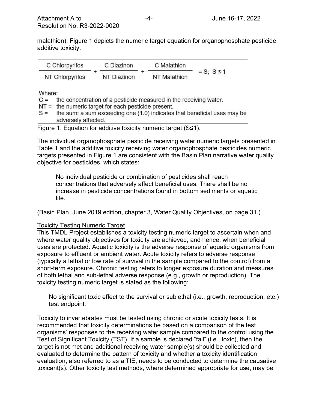malathion). Figure 1 depicts the numeric target equation for organophosphate pesticide additive toxicity.

| C Chlorpyrifos           |                     | C Diazinon                                            | C Malathion                                                       |                                                                          |  |
|--------------------------|---------------------|-------------------------------------------------------|-------------------------------------------------------------------|--------------------------------------------------------------------------|--|
| NT Chlorpyrifos          |                     | NT Diazinon                                           | <b>NT Malathion</b>                                               | $= S$ ; $S \leq 1$                                                       |  |
| Where:<br>$C =$<br>$S =$ | adversely affected. | $NT =$ the numeric target for each pesticide present. | the concentration of a pesticide measured in the receiving water. | the sum; a sum exceeding one (1.0) indicates that beneficial uses may be |  |

Figure 1. Equation for additive toxicity numeric target (S≤1).

The individual organophosphate pesticide receiving water numeric targets presented in Table 1 and the additive toxicity receiving water organophosphate pesticides numeric targets presented in Figure 1 are consistent with the Basin Plan narrative water quality objective for pesticides, which states:

No individual pesticide or combination of pesticides shall reach concentrations that adversely affect beneficial uses. There shall be no increase in pesticide concentrations found in bottom sediments or aquatic life.

(Basin Plan, June 2019 edition, chapter 3, Water Quality Objectives, on page 31.)

#### Toxicity Testing Numeric Target

This TMDL Project establishes a toxicity testing numeric target to ascertain when and where water quality objectives for toxicity are achieved, and hence, when beneficial uses are protected. Aquatic toxicity is the adverse response of aquatic organisms from exposure to effluent or ambient water. Acute toxicity refers to adverse response (typically a lethal or low rate of survival in the sample compared to the control) from a short-term exposure. Chronic testing refers to longer exposure duration and measures of both lethal and sub-lethal adverse response (e.g., growth or reproduction). The toxicity testing numeric target is stated as the following:

No significant toxic effect to the survival or sublethal (i.e., growth, reproduction, etc.) test endpoint.

Toxicity to invertebrates must be tested using chronic or acute toxicity tests. It is recommended that toxicity determinations be based on a comparison of the test organisms' responses to the receiving water sample compared to the control using the Test of Significant Toxicity (TST). If a sample is declared "fail" (i.e., toxic), then the target is not met and additional receiving water sample(s) should be collected and evaluated to determine the pattern of toxicity and whether a toxicity identification evaluation, also referred to as a TIE, needs to be conducted to determine the causative toxicant(s). Other toxicity test methods, where determined appropriate for use, may be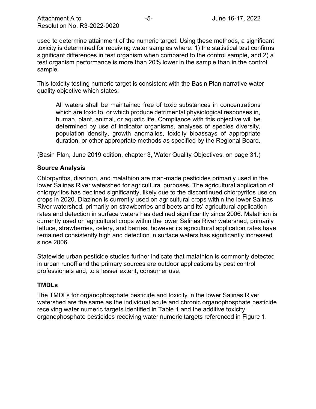used to determine attainment of the numeric target. Using these methods, a significant toxicity is determined for receiving water samples where: 1) the statistical test confirms significant differences in test organism when compared to the control sample, and 2) a test organism performance is more than 20% lower in the sample than in the control sample.

This toxicity testing numeric target is consistent with the Basin Plan narrative water quality objective which states:

All waters shall be maintained free of toxic substances in concentrations which are toxic to, or which produce detrimental physiological responses in, human, plant, animal, or aquatic life. Compliance with this objective will be determined by use of indicator organisms, analyses of species diversity, population density, growth anomalies, toxicity bioassays of appropriate duration, or other appropriate methods as specified by the Regional Board.

(Basin Plan, June 2019 edition, chapter 3, Water Quality Objectives, on page 31.)

## **Source Analysis**

Chlorpyrifos, diazinon, and malathion are man-made pesticides primarily used in the lower Salinas River watershed for agricultural purposes. The agricultural application of chlorpyrifos has declined significantly, likely due to the discontinued chlorpyrifos use on crops in 2020. Diazinon is currently used on agricultural crops within the lower Salinas River watershed, primarily on strawberries and beets and its' agricultural application rates and detection in surface waters has declined significantly since 2006. Malathion is currently used on agricultural crops within the lower Salinas River watershed, primarily lettuce, strawberries, celery, and berries, however its agricultural application rates have remained consistently high and detection in surface waters has significantly increased since 2006.

Statewide urban pesticide studies further indicate that malathion is commonly detected in urban runoff and the primary sources are outdoor applications by pest control professionals and, to a lesser extent, consumer use.

#### **TMDLs**

The TMDLs for organophosphate pesticide and toxicity in the lower Salinas River watershed are the same as the individual acute and chronic organophosphate pesticide receiving water numeric targets identified in Table 1 and the additive toxicity organophosphate pesticides receiving water numeric targets referenced in Figure 1.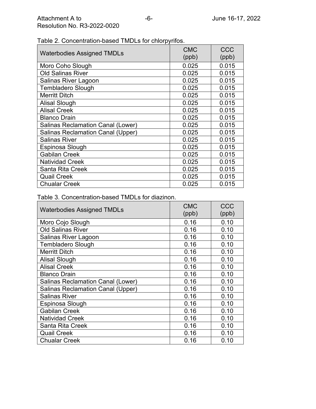| <b>Waterbodies Assigned TMDLs</b>        | <b>CMC</b><br>(ppb) | CCC<br>(ppb) |
|------------------------------------------|---------------------|--------------|
| Moro Coho Slough                         | 0.025               | 0.015        |
| <b>Old Salinas River</b>                 | 0.025               | 0.015        |
| Salinas River Lagoon                     | 0.025               | 0.015        |
| <b>Tembladero Slough</b>                 | 0.025               | 0.015        |
| <b>Merritt Ditch</b>                     | 0.025               | 0.015        |
| <b>Alisal Slough</b>                     | 0.025               | 0.015        |
| <b>Alisal Creek</b>                      | 0.025               | 0.015        |
| <b>Blanco Drain</b>                      | 0.025               | 0.015        |
| <b>Salinas Reclamation Canal (Lower)</b> | 0.025               | 0.015        |
| <b>Salinas Reclamation Canal (Upper)</b> | 0.025               | 0.015        |
| <b>Salinas River</b>                     | 0.025               | 0.015        |
| Espinosa Slough                          | 0.025               | 0.015        |
| <b>Gabilan Creek</b>                     | 0.025               | 0.015        |
| <b>Natividad Creek</b>                   | 0.025               | 0.015        |
| Santa Rita Creek                         | 0.025               | 0.015        |
| <b>Quail Creek</b>                       | 0.025               | 0.015        |
| <b>Chualar Creek</b>                     | 0.025               | 0.015        |

Table 3. Concentration-based TMDLs for diazinon.

| <b>Waterbodies Assigned TMDLs</b>        | <b>CMC</b><br>(ppb) | CCC<br>(ppb) |
|------------------------------------------|---------------------|--------------|
| Moro Cojo Slough                         | 0.16                | 0.10         |
| <b>Old Salinas River</b>                 | 0.16                | 0.10         |
| Salinas River Lagoon                     | 0.16                | 0.10         |
| <b>Tembladero Slough</b>                 | 0.16                | 0.10         |
| <b>Merritt Ditch</b>                     | 0.16                | 0.10         |
| <b>Alisal Slough</b>                     | 0.16                | 0.10         |
| <b>Alisal Creek</b>                      | 0.16                | 0.10         |
| <b>Blanco Drain</b>                      | 0.16                | 0.10         |
| <b>Salinas Reclamation Canal (Lower)</b> | 0.16                | 0.10         |
| <b>Salinas Reclamation Canal (Upper)</b> | 0.16                | 0.10         |
| <b>Salinas River</b>                     | 0.16                | 0.10         |
| Espinosa Slough                          | 0.16                | 0.10         |
| <b>Gabilan Creek</b>                     | 0.16                | 0.10         |
| <b>Natividad Creek</b>                   | 0.16                | 0.10         |
| Santa Rita Creek                         | 0.16                | 0.10         |
| <b>Quail Creek</b>                       | 0.16                | 0.10         |
| <b>Chualar Creek</b>                     | 0.16                | 0.10         |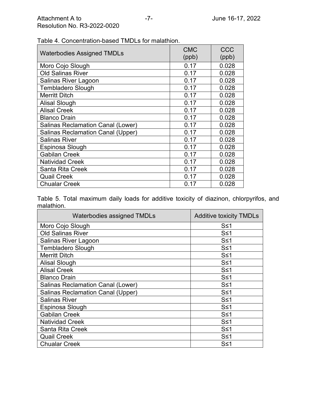| <b>Waterbodies Assigned TMDLs</b>        | <b>CMC</b><br>(ppb) | CCC<br>(ppb) |
|------------------------------------------|---------------------|--------------|
| Moro Cojo Slough                         | 0.17                | 0.028        |
| <b>Old Salinas River</b>                 | 0.17                | 0.028        |
| Salinas River Lagoon                     | 0.17                | 0.028        |
| <b>Tembladero Slough</b>                 | 0.17                | 0.028        |
| <b>Merritt Ditch</b>                     | 0.17                | 0.028        |
| <b>Alisal Slough</b>                     | 0.17                | 0.028        |
| <b>Alisal Creek</b>                      | 0.17                | 0.028        |
| <b>Blanco Drain</b>                      | 0.17                | 0.028        |
| <b>Salinas Reclamation Canal (Lower)</b> | 0.17                | 0.028        |
| <b>Salinas Reclamation Canal (Upper)</b> | 0.17                | 0.028        |
| <b>Salinas River</b>                     | 0.17                | 0.028        |
| Espinosa Slough                          | 0.17                | 0.028        |
| <b>Gabilan Creek</b>                     | 0.17                | 0.028        |
| <b>Natividad Creek</b>                   | 0.17                | 0.028        |
| Santa Rita Creek                         | 0.17                | 0.028        |
| <b>Quail Creek</b>                       | 0.17                | 0.028        |
| <b>Chualar Creek</b>                     | 0.17                | 0.028        |

Table 4. Concentration-based TMDLs for malathion.

Table 5. Total maximum daily loads for additive toxicity of diazinon, chlorpyrifos, and malathion.

| Waterbodies assigned TMDLs               | <b>Additive toxicity TMDLs</b> |
|------------------------------------------|--------------------------------|
| Moro Cojo Slough                         | S≤1                            |
| <b>Old Salinas River</b>                 | $S \leq 1$                     |
| Salinas River Lagoon                     | $S \leq 1$                     |
| <b>Tembladero Slough</b>                 | $S \leq 1$                     |
| <b>Merritt Ditch</b>                     | $S \leq 1$                     |
| <b>Alisal Slough</b>                     | $S \leq 1$                     |
| <b>Alisal Creek</b>                      | $S \leq 1$                     |
| <b>Blanco Drain</b>                      | $S \leq 1$                     |
| <b>Salinas Reclamation Canal (Lower)</b> | $S \leq 1$                     |
| <b>Salinas Reclamation Canal (Upper)</b> | $S \leq 1$                     |
| <b>Salinas River</b>                     | $S \leq 1$                     |
| Espinosa Slough                          | $S \leq 1$                     |
| <b>Gabilan Creek</b>                     | $S \leq 1$                     |
| <b>Natividad Creek</b>                   | S≤1                            |
| Santa Rita Creek                         | S≤1                            |
| <b>Quail Creek</b>                       | S≤1                            |
| <b>Chualar Creek</b>                     | S≤1                            |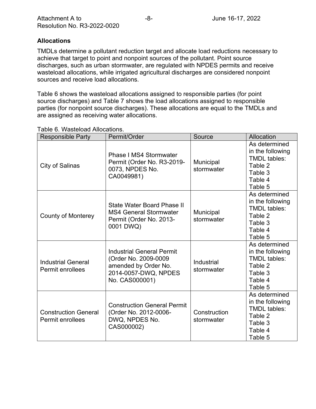## **Allocations**

TMDLs determine a pollutant reduction target and allocate load reductions necessary to achieve that target to point and nonpoint sources of the pollutant. Point source discharges, such as urban stormwater, are regulated with NPDES permits and receive wasteload allocations, while irrigated agricultural discharges are considered nonpoint sources and receive load allocations.

Table 6 shows the wasteload allocations assigned to responsible parties (for point source discharges) and Table 7 shows the load allocations assigned to responsible parties (for nonpoint source discharges). These allocations are equal to the TMDLs and are assigned as receiving water allocations.

| <b>Responsible Party</b>                               | Permit/Order                                                                                                               | Source                     | Allocation                                                                                           |
|--------------------------------------------------------|----------------------------------------------------------------------------------------------------------------------------|----------------------------|------------------------------------------------------------------------------------------------------|
| <b>City of Salinas</b>                                 | <b>Phase I MS4 Stormwater</b><br>Permit (Order No. R3-2019-<br>0073, NPDES No.<br>CA0049981)                               | Municipal<br>stormwater    | As determined<br>in the following<br><b>TMDL</b> tables:<br>Table 2<br>Table 3<br>Table 4<br>Table 5 |
| County of Monterey                                     | <b>State Water Board Phase II</b><br><b>MS4 General Stormwater</b><br>Permit (Order No. 2013-<br>0001 DWQ)                 | Municipal<br>stormwater    | As determined<br>in the following<br><b>TMDL</b> tables:<br>Table 2<br>Table 3<br>Table 4<br>Table 5 |
| <b>Industrial General</b><br><b>Permit enrollees</b>   | <b>Industrial General Permit</b><br>(Order No. 2009-0009<br>amended by Order No.<br>2014-0057-DWQ, NPDES<br>No. CAS000001) | Industrial<br>stormwater   | As determined<br>in the following<br><b>TMDL</b> tables:<br>Table 2<br>Table 3<br>Table 4<br>Table 5 |
| <b>Construction General</b><br><b>Permit enrollees</b> | <b>Construction General Permit</b><br>(Order No. 2012-0006-<br>DWQ, NPDES No.<br>CAS000002)                                | Construction<br>stormwater | As determined<br>in the following<br><b>TMDL</b> tables:<br>Table 2<br>Table 3<br>Table 4<br>Table 5 |

Table 6. Wasteload Allocations.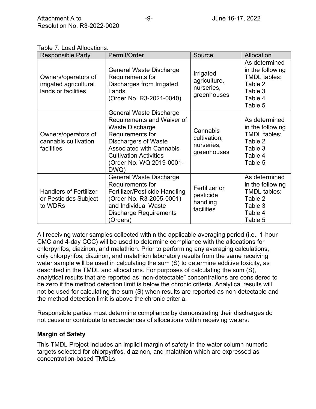| <b>Responsible Party</b>                                             | Permit/Order                                                                                                                                                                                                                               | Source                                                 | Allocation                                                                                           |
|----------------------------------------------------------------------|--------------------------------------------------------------------------------------------------------------------------------------------------------------------------------------------------------------------------------------------|--------------------------------------------------------|------------------------------------------------------------------------------------------------------|
| Owners/operators of<br>irrigated agricultural<br>lands or facilities | General Waste Discharge<br>Requirements for<br>Discharges from Irrigated<br>Lands<br>(Order No. R3-2021-0040)                                                                                                                              | Irrigated<br>agriculture,<br>nurseries,<br>greenhouses | As determined<br>in the following<br><b>TMDL</b> tables:<br>Table 2<br>Table 3<br>Table 4<br>Table 5 |
| Owners/operators of<br>cannabis cultivation<br>facilities            | <b>General Waste Discharge</b><br>Requirements and Waiver of<br><b>Waste Discharge</b><br>Requirements for<br>Dischargers of Waste<br><b>Associated with Cannabis</b><br><b>Cultivation Activities</b><br>(Order No. WQ 2019-0001-<br>DWQ) | Cannabis<br>cultivation,<br>nurseries,<br>greenhouses  | As determined<br>in the following<br><b>TMDL</b> tables:<br>Table 2<br>Table 3<br>Table 4<br>Table 5 |
| <b>Handlers of Fertilizer</b><br>or Pesticides Subject<br>to WDRs    | <b>General Waste Discharge</b><br>Requirements for<br>Fertilizer/Pesticide Handling<br>(Order No. R3-2005-0001)<br>and Individual Waste<br><b>Discharge Requirements</b><br>(Orders)                                                       | Fertilizer or<br>pesticide<br>handling<br>facilities   | As determined<br>in the following<br><b>TMDL tables:</b><br>Table 2<br>Table 3<br>Table 4<br>Table 5 |

Table 7. Load Allocations.

All receiving water samples collected within the applicable averaging period (i.e., 1-hour CMC and 4-day CCC) will be used to determine compliance with the allocations for chlorpyrifos, diazinon, and malathion. Prior to performing any averaging calculations, only chlorpyrifos, diazinon, and malathion laboratory results from the same receiving water sample will be used in calculating the sum (S) to determine additive toxicity, as described in the TMDL and allocations. For purposes of calculating the sum (S), analytical results that are reported as "non-detectable" concentrations are considered to be zero if the method detection limit is below the chronic criteria. Analytical results will not be used for calculating the sum (S) when results are reported as non-detectable and the method detection limit is above the chronic criteria.

Responsible parties must determine compliance by demonstrating their discharges do not cause or contribute to exceedances of allocations within receiving waters.

## **Margin of Safety**

This TMDL Project includes an implicit margin of safety in the water column numeric targets selected for chlorpyrifos, diazinon, and malathion which are expressed as concentration-based TMDLs.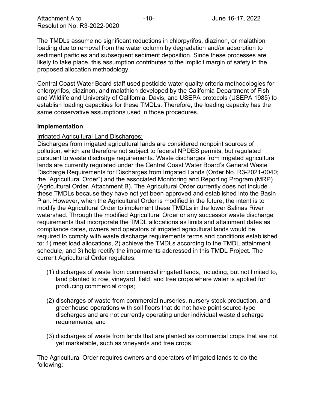The TMDLs assume no significant reductions in chlorpyrifos, diazinon, or malathion loading due to removal from the water column by degradation and/or adsorption to sediment particles and subsequent sediment deposition. Since these processes are likely to take place, this assumption contributes to the implicit margin of safety in the proposed allocation methodology.

Central Coast Water Board staff used pesticide water quality criteria methodologies for chlorpyrifos, diazinon, and malathion developed by the California Department of Fish and Wildlife and University of California, Davis, and USEPA protocols (USEPA 1985) to establish loading capacities for these TMDLs. Therefore, the loading capacity has the same conservative assumptions used in those procedures.

#### **Implementation**

#### Irrigated Agricultural Land Discharges:

Discharges from irrigated agricultural lands are considered nonpoint sources of pollution, which are therefore not subject to federal NPDES permits, but regulated pursuant to waste discharge requirements. Waste discharges from irrigated agricultural lands are currently regulated under the Central Coast Water Board's General Waste Discharge Requirements for Discharges from Irrigated Lands (Order No. R3-2021-0040; the "Agricultural Order") and the associated Monitoring and Reporting Program (MRP) (Agricultural Order, Attachment B). The Agricultural Order currently does not include these TMDLs because they have not yet been approved and established into the Basin Plan. However, when the Agricultural Order is modified in the future, the intent is to modify the Agricultural Order to implement these TMDLs in the lower Salinas River watershed. Through the modified Agricultural Order or any successor waste discharge requirements that incorporate the TMDL allocations as limits and attainment dates as compliance dates, owners and operators of irrigated agricultural lands would be required to comply with waste discharge requirements terms and conditions established to: 1) meet load allocations, 2) achieve the TMDLs according to the TMDL attainment schedule, and 3) help rectify the impairments addressed in this TMDL Project. The current Agricultural Order regulates:

- (1) discharges of waste from commercial irrigated lands, including, but not limited to, land planted to row, vineyard, field, and tree crops where water is applied for producing commercial crops;
- (2) discharges of waste from commercial nurseries, nursery stock production, and greenhouse operations with soil floors that do not have point source-type discharges and are not currently operating under individual waste discharge requirements; and
- (3) discharges of waste from lands that are planted as commercial crops that are not yet marketable, such as vineyards and tree crops.

The Agricultural Order requires owners and operators of irrigated lands to do the following: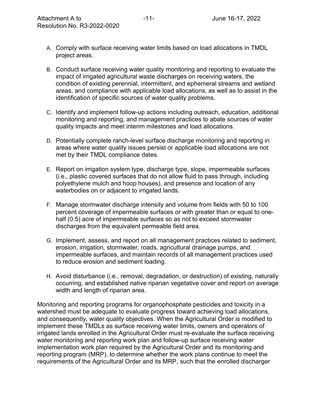- A. Comply with surface receiving water limits based on load allocations in TMDL project areas.
- B. Conduct surface receiving water quality monitoring and reporting to evaluate the impact of irrigated agricultural waste discharges on receiving waters, the condition of existing perennial, intermittent, and ephemeral streams and wetland areas, and compliance with applicable load allocations, as well as to assist in the identification of specific sources of water quality problems.
- C. Identify and implement follow-up actions including outreach, education, additional monitoring and reporting, and management practices to abate sources of water quality impacts and meet interim milestones and load allocations.
- D. Potentially complete ranch-level surface discharge monitoring and reporting in areas where water quality issues persist or applicable load allocations are not met by their TMDL compliance dates.
- E. Report on irrigation system type, discharge type, slope, impermeable surfaces (i.e., plastic covered surfaces that do not allow fluid to pass through, including polyethylene mulch and hoop houses), and presence and location of any waterbodies on or adjacent to irrigated lands.
- F. Manage stormwater discharge intensity and volume from fields with 50 to 100 percent coverage of impermeable surfaces or with greater than or equal to onehalf (0.5) acre of impermeable surfaces so as not to exceed stormwater discharges from the equivalent permeable field area.
- G. Implement, assess, and report on all management practices related to sediment, erosion, irrigation, stormwater, roads, agricultural drainage pumps, and impermeable surfaces, and maintain records of all management practices used to reduce erosion and sediment loading.
- H. Avoid disturbance (i.e., removal, degradation, or destruction) of existing, naturally occurring, and established native riparian vegetative cover and report on average width and length of riparian area.

Monitoring and reporting programs for organophosphate pesticides and toxicity in a watershed must be adequate to evaluate progress toward achieving load allocations, and consequently, water quality objectives. When the Agricultural Order is modified to implement these TMDLs as surface receiving water limits, owners and operators of irrigated lands enrolled in the Agricultural Order must re-evaluate the surface receiving water monitoring and reporting work plan and follow-up surface receiving water implementation work plan required by the Agricultural Order and its monitoring and reporting program (MRP), to determine whether the work plans continue to meet the requirements of the Agricultural Order and its MRP, such that the enrolled discharger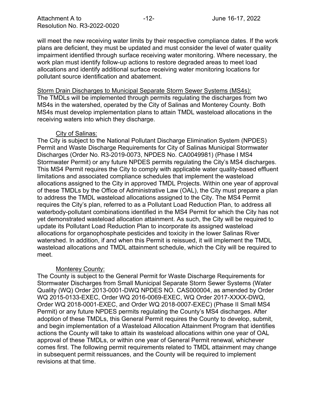will meet the new receiving water limits by their respective compliance dates. If the work plans are deficient, they must be updated and must consider the level of water quality impairment identified through surface receiving water monitoring. Where necessary, the work plan must identify follow-up actions to restore degraded areas to meet load allocations and identify additional surface receiving water monitoring locations for pollutant source identification and abatement.

#### Storm Drain Discharges to Municipal Separate Storm Sewer Systems (MS4s):

The TMDLs will be implemented through permits regulating the discharges from two MS4s in the watershed, operated by the City of Salinas and Monterey County. Both MS4s must develop implementation plans to attain TMDL wasteload allocations in the receiving waters into which they discharge.

#### City of Salinas:

The City is subject to the National Pollutant Discharge Elimination System (NPDES) Permit and Waste Discharge Requirements for City of Salinas Municipal Stormwater Discharges (Order No. R3-2019-0073, NPDES No. CA0049981) (Phase I MS4 Stormwater Permit) or any future NPDES permits regulating the City's MS4 discharges. This MS4 Permit requires the City to comply with applicable water quality-based effluent limitations and associated compliance schedules that implement the wasteload allocations assigned to the City in approved TMDL Projects. Within one year of approval of these TMDLs by the Office of Administrative Law (OAL), the City must prepare a plan to address the TMDL wasteload allocations assigned to the City. The MS4 Permit requires the City's plan, referred to as a Pollutant Load Reduction Plan, to address all waterbody-pollutant combinations identified in the MS4 Permit for which the City has not yet demonstrated wasteload allocation attainment. As such, the City will be required to update its Pollutant Load Reduction Plan to incorporate its assigned wasteload allocations for organophosphate pesticides and toxicity in the lower Salinas River watershed. In addition, if and when this Permit is reissued, it will implement the TMDL wasteload allocations and TMDL attainment schedule, which the City will be required to meet.

#### Monterey County:

The County is subject to the General Permit for Waste Discharge Requirements for Stormwater Discharges from Small Municipal Separate Storm Sewer Systems (Water Quality (WQ) Order 2013-0001-DWQ NPDES NO. CAS000004, as amended by Order WQ 2015-0133-EXEC, Order WQ 2016-0069-EXEC, WQ Order 2017-XXXX-DWQ, Order WQ 2018-0001-EXEC, and Order WQ 2018-0007-EXEC) (Phase II Small MS4 Permit) or any future NPDES permits regulating the County's MS4 discharges. After adoption of these TMDLs, this General Permit requires the County to develop, submit, and begin implementation of a Wasteload Allocation Attainment Program that identifies actions the County will take to attain its wasteload allocations within one year of OAL approval of these TMDLs, or within one year of General Permit renewal, whichever comes first. The following permit requirements related to TMDL attainment may change in subsequent permit reissuances, and the County will be required to implement revisions at that time.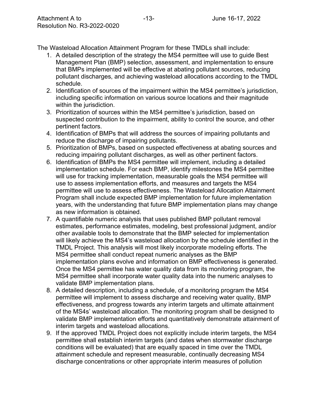The Wasteload Allocation Attainment Program for these TMDLs shall include:

- 1. A detailed description of the strategy the MS4 permittee will use to guide Best Management Plan (BMP) selection, assessment, and implementation to ensure that BMPs implemented will be effective at abating pollutant sources, reducing pollutant discharges, and achieving wasteload allocations according to the TMDL schedule.
- 2. Identification of sources of the impairment within the MS4 permittee's jurisdiction, including specific information on various source locations and their magnitude within the jurisdiction.
- 3. Prioritization of sources within the MS4 permittee's jurisdiction, based on suspected contribution to the impairment, ability to control the source, and other pertinent factors.
- 4. Identification of BMPs that will address the sources of impairing pollutants and reduce the discharge of impairing pollutants.
- 5. Prioritization of BMPs, based on suspected effectiveness at abating sources and reducing impairing pollutant discharges, as well as other pertinent factors.
- 6. Identification of BMPs the MS4 permittee will implement, including a detailed implementation schedule. For each BMP, identify milestones the MS4 permittee will use for tracking implementation, measurable goals the MS4 permittee will use to assess implementation efforts, and measures and targets the MS4 permittee will use to assess effectiveness. The Wasteload Allocation Attainment Program shall include expected BMP implementation for future implementation years, with the understanding that future BMP implementation plans may change as new information is obtained.
- 7. A quantifiable numeric analysis that uses published BMP pollutant removal estimates, performance estimates, modeling, best professional judgment, and/or other available tools to demonstrate that the BMP selected for implementation will likely achieve the MS4's wasteload allocation by the schedule identified in the TMDL Project. This analysis will most likely incorporate modeling efforts. The MS4 permittee shall conduct repeat numeric analyses as the BMP implementation plans evolve and information on BMP effectiveness is generated. Once the MS4 permittee has water quality data from its monitoring program, the MS4 permittee shall incorporate water quality data into the numeric analyses to validate BMP implementation plans.
- 8. A detailed description, including a schedule, of a monitoring program the MS4 permittee will implement to assess discharge and receiving water quality, BMP effectiveness, and progress towards any interim targets and ultimate attainment of the MS4s' wasteload allocation. The monitoring program shall be designed to validate BMP implementation efforts and quantitatively demonstrate attainment of interim targets and wasteload allocations.
- 9. If the approved TMDL Project does not explicitly include interim targets, the MS4 permittee shall establish interim targets (and dates when stormwater discharge conditions will be evaluated) that are equally spaced in time over the TMDL attainment schedule and represent measurable, continually decreasing MS4 discharge concentrations or other appropriate interim measures of pollution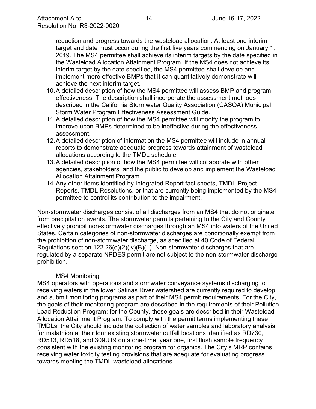reduction and progress towards the wasteload allocation. At least one interim target and date must occur during the first five years commencing on January 1, 2019. The MS4 permittee shall achieve its interim targets by the date specified in the Wasteload Allocation Attainment Program. If the MS4 does not achieve its interim target by the date specified, the MS4 permittee shall develop and implement more effective BMPs that it can quantitatively demonstrate will achieve the next interim target.

- 10.A detailed description of how the MS4 permittee will assess BMP and program effectiveness. The description shall incorporate the assessment methods described in the California Stormwater Quality Association (CASQA) Municipal Storm Water Program Effectiveness Assessment Guide.
- 11.A detailed description of how the MS4 permittee will modify the program to improve upon BMPs determined to be ineffective during the effectiveness assessment.
- 12.A detailed description of information the MS4 permittee will include in annual reports to demonstrate adequate progress towards attainment of wasteload allocations according to the TMDL schedule.
- 13.A detailed description of how the MS4 permittee will collaborate with other agencies, stakeholders, and the public to develop and implement the Wasteload Allocation Attainment Program.
- 14.Any other items identified by Integrated Report fact sheets, TMDL Project Reports, TMDL Resolutions, or that are currently being implemented by the MS4 permittee to control its contribution to the impairment.

Non-stormwater discharges consist of all discharges from an MS4 that do not originate from precipitation events. The stormwater permits pertaining to the City and County effectively prohibit non-stormwater discharges through an MS4 into waters of the United States. Certain categories of non-stormwater discharges are conditionally exempt from the prohibition of non-stormwater discharge, as specified at 40 Code of Federal Regulations section 122.26(d)(2)(iv)(B)(1). Non-stormwater discharges that are regulated by a separate NPDES permit are not subject to the non-stormwater discharge prohibition.

#### MS4 Monitoring

MS4 operators with operations and stormwater conveyance systems discharging to receiving waters in the lower Salinas River watershed are currently required to develop and submit monitoring programs as part of their MS4 permit requirements. For the City, the goals of their monitoring program are described in the requirements of their Pollution Load Reduction Program; for the County, these goals are described in their Wasteload Allocation Attainment Program. To comply with the permit terms implementing these TMDLs, the City should include the collection of water samples and laboratory analysis for malathion at their four existing stormwater outfall locations identified as RD730, RD513, RD518, and 309U19 on a one-time, year one, first flush sample frequency consistent with the existing monitoring program for organics. The City's MRP contains receiving water toxicity testing provisions that are adequate for evaluating progress towards meeting the TMDL wasteload allocations.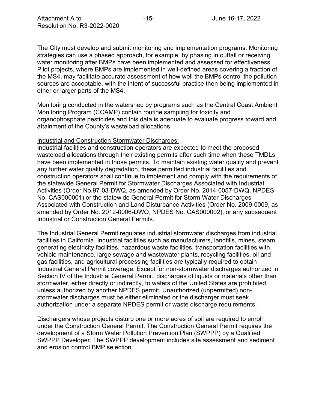The City must develop and submit monitoring and implementation programs. Monitoring strategies can use a phased approach, for example, by phasing in outfall or receiving water monitoring after BMPs have been implemented and assessed for effectiveness. Pilot projects, where BMPs are implemented in well-defined areas covering a fraction of the MS4, may facilitate accurate assessment of how well the BMPs control the pollution sources are acceptable, with the intent of successful practice then being implemented in other or larger parts of the MS4.

Monitoring conducted in the watershed by programs such as the Central Coast Ambient Monitoring Program (CCAMP) contain routine sampling for toxicity and organophosphate pesticides and this data is adequate to evaluate progress toward and attainment of the County's wasteload allocations.

#### Industrial and Construction Stormwater Discharges:

Industrial facilities and construction operators are expected to meet the proposed wasteload allocations through their existing permits after such time when these TMDLs have been implemented in those permits. To maintain existing water quality and prevent any further water quality degradation, these permitted industrial facilities and construction operators shall continue to implement and comply with the requirements of the statewide General Permit for Stormwater Discharges Associated with Industrial Activities (Order No.97-03-DWQ, as amended by Order No. 2014-0057-DWQ, NPDES No. CAS000001) or the statewide General Permit for Storm Water Discharges Associated with Construction and Land Disturbance Activities (Order No. 2009-0009, as amended by Order No. 2012-0006-DWQ, NPDES No. CAS000002), or any subsequent Industrial or Construction General Permits.

The Industrial General Permit regulates industrial stormwater discharges from industrial facilities in California. Industrial facilities such as manufacturers, landfills, mines, steam generating electricity facilities, hazardous waste facilities, transportation facilities with vehicle maintenance, large sewage and wastewater plants, recycling facilities, oil and gas facilities, and agricultural processing facilities are typically required to obtain Industrial General Permit coverage. Except for non-stormwater discharges authorized in Section IV of the Industrial General Permit, discharges of liquids or materials other than stormwater, either directly or indirectly, to waters of the United States are prohibited unless authorized by another NPDES permit. Unauthorized (unpermitted) nonstormwater discharges must be either eliminated or the discharger must seek authorization under a separate NPDES permit or waste discharge requirements.

Dischargers whose projects disturb one or more acres of soil are required to enroll under the Construction General Permit. The Construction General Permit requires the development of a Storm Water Pollution Prevention Plan (SWPPP) by a Qualified SWPPP Developer. The SWPPP development includes site assessment and sediment and erosion control BMP selection.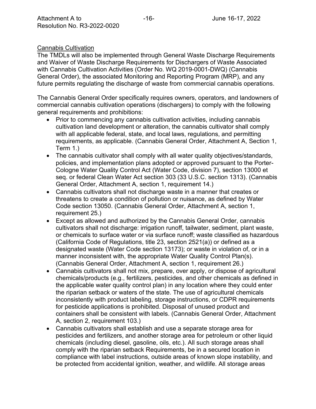#### Cannabis Cultivation

The TMDLs will also be implemented through General Waste Discharge Requirements and Waiver of Waste Discharge Requirements for Dischargers of Waste Associated with Cannabis Cultivation Activities (Order No. WQ 2019-0001-DWQ) (Cannabis General Order), the associated Monitoring and Reporting Program (MRP), and any future permits regulating the discharge of waste from commercial cannabis operations.

The Cannabis General Order specifically requires owners, operators, and landowners of commercial cannabis cultivation operations (dischargers) to comply with the following general requirements and prohibitions:

- · Prior to commencing any cannabis cultivation activities, including cannabis cultivation land development or alteration, the cannabis cultivator shall comply with all applicable federal, state, and local laws, regulations, and permitting requirements, as applicable. (Cannabis General Order, Attachment A, Section 1, Term 1.)
- · The cannabis cultivator shall comply with all water quality objectives/standards, policies, and implementation plans adopted or approved pursuant to the Porter-Cologne Water Quality Control Act (Water Code, division 7), section 13000 et seq. or federal Clean Water Act section 303 (33 U.S.C. section 1313). (Cannabis General Order, Attachment A, section 1, requirement 14.)
- · Cannabis cultivators shall not discharge waste in a manner that creates or threatens to create a condition of pollution or nuisance, as defined by Water Code section 13050. (Cannabis General Order, Attachment A, section 1, requirement 25.)
- · Except as allowed and authorized by the Cannabis General Order, cannabis cultivators shall not discharge: irrigation runoff, tailwater, sediment, plant waste, or chemicals to surface water or via surface runoff; waste classified as hazardous (California Code of Regulations, title 23, section 2521(a)) or defined as a designated waste (Water Code section 13173); or waste in violation of, or in a manner inconsistent with, the appropriate Water Quality Control Plan(s). (Cannabis General Order, Attachment A, section 1, requirement 26.)
- · Cannabis cultivators shall not mix, prepare, over apply, or dispose of agricultural chemicals/products (e.g., fertilizers, pesticides, and other chemicals as defined in the applicable water quality control plan) in any location where they could enter the riparian setback or waters of the state. The use of agricultural chemicals inconsistently with product labeling, storage instructions, or CDPR requirements for pesticide applications is prohibited. Disposal of unused product and containers shall be consistent with labels. (Cannabis General Order, Attachment A, section 2, requirement 103.)
- · Cannabis cultivators shall establish and use a separate storage area for pesticides and fertilizers, and another storage area for petroleum or other liquid chemicals (including diesel, gasoline, oils, etc.). All such storage areas shall comply with the riparian setback Requirements, be in a secured location in compliance with label instructions, outside areas of known slope instability, and be protected from accidental ignition, weather, and wildlife. All storage areas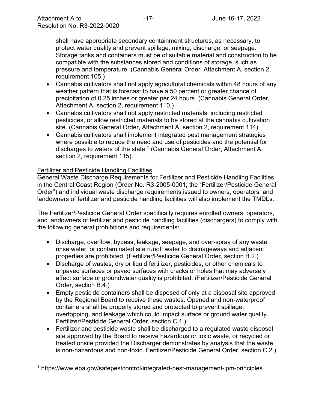shall have appropriate secondary containment structures, as necessary, to protect water quality and prevent spillage, mixing, discharge, or seepage. Storage tanks and containers must be of suitable material and construction to be compatible with the substances stored and conditions of storage, such as pressure and temperature. (Cannabis General Order, Attachment A, section 2, requirement 105.)

- · Cannabis cultivators shall not apply agricultural chemicals within 48 hours of any weather pattern that is forecast to have a 50 percent or greater chance of precipitation of 0.25 inches or greater per 24 hours. (Cannabis General Order, Attachment A, section 2, requirement 110.)
- · Cannabis cultivators shall not apply restricted materials, including restricted pesticides, or allow restricted materials to be stored at the cannabis cultivation site. (Cannabis General Order, Attachment A, section 2, requirement 114).
- · Cannabis cultivators shall implement integrated pest management strategies where possible to reduce the need and use of pesticides and the potential for discharges to waters of the state. [1](#page-17-0) (Cannabis General Order, Attachment A, section 2, requirement 115).

## Fertilizer and Pesticide Handling Facilities

General Waste Discharge Requirements for Fertilizer and Pesticide Handling Facilities in the Central Coast Region (Order No. R3-2005-0001; the "Fertilizer/Pesticide General Order") and individual waste discharge requirements issued to owners, operators, and landowners of fertilizer and pesticide handling facilities will also implement the TMDLs.

The Fertilizer/Pesticide General Order specifically requires enrolled owners, operators, and landowners of fertilizer and pesticide handling facilities (dischargers) to comply with the following general prohibitions and requirements:

- · Discharge, overflow, bypass, leakage, seepage, and over-spray of any waste, rinse water, or contaminated site runoff water to drainageways and adjacent properties are prohibited. (Fertilizer/Pesticide General Order, section B.2.)
- · Discharge of wastes, dry or liquid fertilizer, pesticides, or other chemicals to unpaved surfaces or paved surfaces with cracks or holes that may adversely affect surface or groundwater quality is prohibited. (Fertilizer/Pesticide General Order, section B.4.)
- · Empty pesticide containers shall be disposed of only at a disposal site approved by the Regional Board to receive these wastes. Opened and non-waterproof containers shall be properly stored and protected to prevent spillage, overtopping, and leakage which could impact surface or ground water quality. Fertilizer/Pesticide General Order, section C.1.)
- · Fertilizer and pesticide waste shall be discharged to a regulated waste disposal site approved by the Board to receive hazardous or toxic waste, or recycled or treated onsite provided the Discharger demonstrates by analysis that the waste is non-hazardous and non-toxic. Fertilizer/Pesticide General Order, section C.2.)

<span id="page-17-0"></span><sup>1</sup> https://www.epa.gov/safepestcontrol/integrated-pest-management-ipm-principles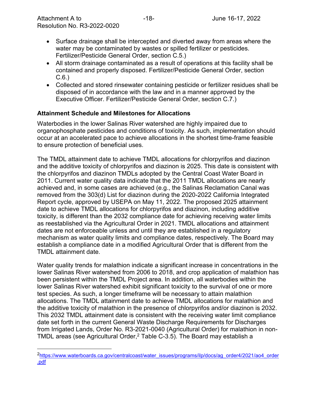- · Surface drainage shall be intercepted and diverted away from areas where the water may be contaminated by wastes or spilled fertilizer or pesticides. Fertilizer/Pesticide General Order, section C.5.)
- · All storm drainage contaminated as a result of operations at this facility shall be contained and properly disposed. Fertilizer/Pesticide General Order, section  $C.6.$
- · Collected and stored rinsewater containing pesticide or fertilizer residues shall be disposed of in accordance with the law and in a manner approved by the Executive Officer. Fertilizer/Pesticide General Order, section C.7.)

## **Attainment Schedule and Milestones for Allocations**

Waterbodies in the lower Salinas River watershed are highly impaired due to organophosphate pesticides and conditions of toxicity. As such, implementation should occur at an accelerated pace to achieve allocations in the shortest time-frame feasible to ensure protection of beneficial uses.

The TMDL attainment date to achieve TMDL allocations for chlorpyrifos and diazinon and the additive toxicity of chlorpyrifos and diazinon is 2025. This date is consistent with the chlorpyrifos and diazinon TMDLs adopted by the Central Coast Water Board in 2011. Current water quality data indicate that the 2011 TMDL allocations are nearly achieved and, in some cases are achieved (e.g., the Salinas Reclamation Canal was removed from the 303(d) List for diazinon during the 2020-2022 California Integrated Report cycle, approved by USEPA on May 11, 2022. The proposed 2025 attainment date to achieve TMDL allocations for chlorpyrifos and diazinon, including additive toxicity, is different than the 2032 compliance date for achieving receiving water limits as reestablished via the Agricultural Order in 2021. TMDL allocations and attainment dates are not enforceable unless and until they are established in a regulatory mechanism as water quality limits and compliance dates, respectively. The Board may establish a compliance date in a modified Agricultural Order that is different from the TMDL attainment date.

Water quality trends for malathion indicate a significant increase in concentrations in the lower Salinas River watershed from 2006 to 2018, and crop application of malathion has been persistent within the TMDL Project area. In addition, all waterbodies within the lower Salinas River watershed exhibit significant toxicity to the survival of one or more test species. As such, a longer timeframe will be necessary to attain malathion allocations. The TMDL attainment date to achieve TMDL allocations for malathion and the additive toxicity of malathion in the presence of chlorpyrifos and/or diazinon is 2032. This 2032 TMDL attainment date is consistent with the receiving water limit compliance date set forth in the current General Waste Discharge Requirements for Discharges from Irrigated Lands, Order No. R3-2021-0040 (Agricultural Order) for malathion in non-TMDL areas (see Agricultural Order,<sup>[2](#page-18-0)</sup> Table C-3.5). The Board may establish a

<span id="page-18-0"></span><sup>&</sup>lt;sup>2</sup>[https://www.waterboards.ca.gov/centralcoast/water\\_issues/programs/ilp/docs/ag\\_order4/2021/ao4\\_order](https://www.waterboards.ca.gov/centralcoast/water_issues/programs/ilp/docs/ag_order4/2021/ao4_order.pdf) [.pdf](https://www.waterboards.ca.gov/centralcoast/water_issues/programs/ilp/docs/ag_order4/2021/ao4_order.pdf)